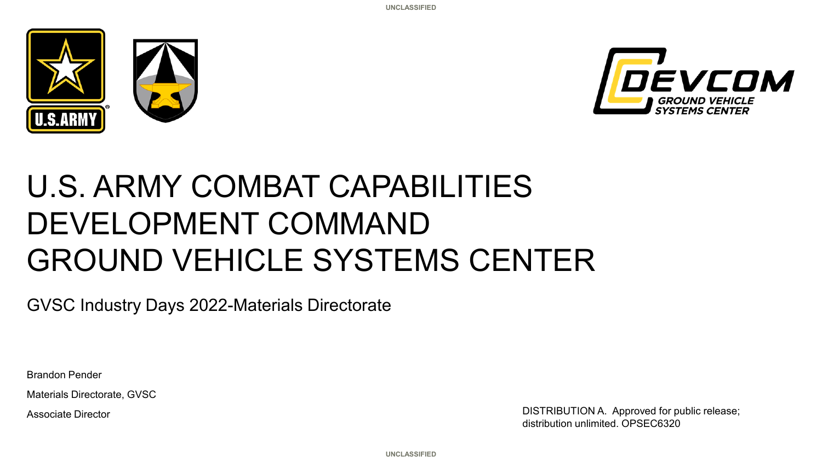



# U.S. ARMY COMBAT CAPABILITIES DEVELOPMENT COMMAND GROUND VEHICLE SYSTEMS CENTER

GVSC Industry Days 2022-Materials Directorate

Brandon Pender

Materials Directorate, GVSC

Associate Director **DISTRIBUTION A.** Approved for public release; distribution unlimited. OPSEC6320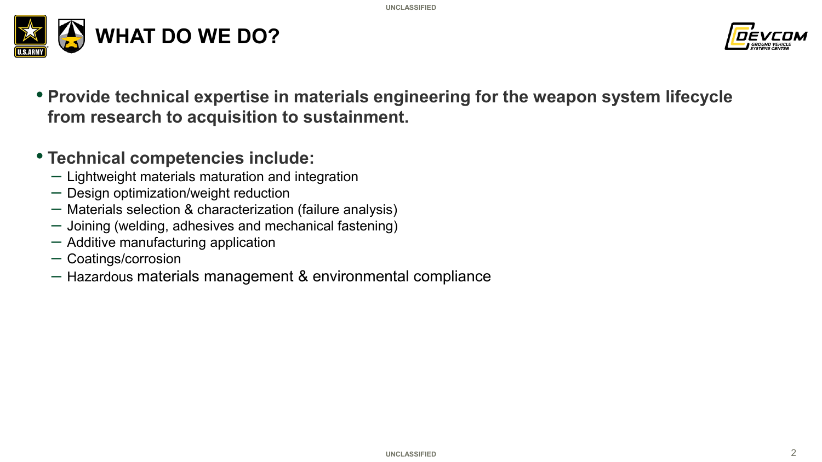



• **Provide technical expertise in materials engineering for the weapon system lifecycle from research to acquisition to sustainment.** 

# • **Technical competencies include:**

- Lightweight materials maturation and integration
- Design optimization/weight reduction
- Materials selection & characterization (failure analysis)
- Joining (welding, adhesives and mechanical fastening)
- Additive manufacturing application
- Coatings/corrosion
- Hazardous materials management & environmental compliance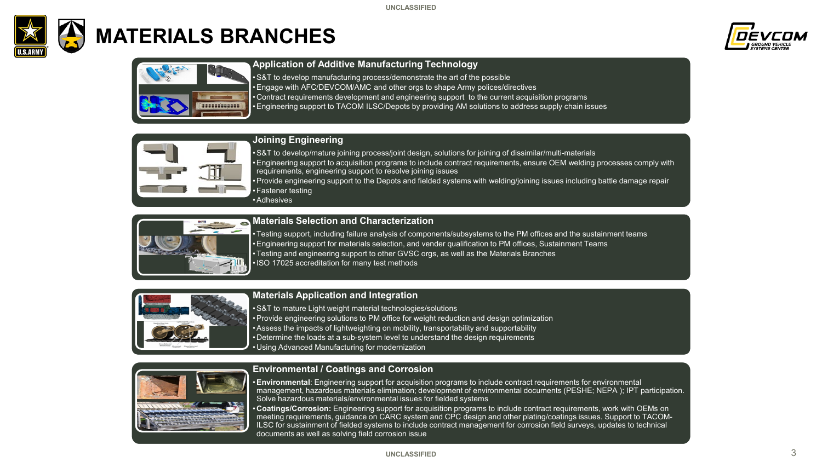

# **MATERIALS BRANCHES**



| ٠<br>٠ |
|--------|

#### **Application of Additive Manufacturing Technology**

•S&T to develop manufacturing process/demonstrate the art of the possible •Engage with AFC/DEVCOM/AMC and other orgs to shape Army polices/directives • Contract requirements development and engineering support to the current acquisition programs •Engineering support to TACOM ILSC/Depots by providing AM solutions to address supply chain issues



#### **Joining Engineering**

•S&T to develop/mature joining process/joint design, solutions for joining of dissimilar/multi-materials •Engineering support to acquisition programs to include contract requirements, ensure OEM welding processes comply with requirements, engineering support to resolve joining issues •Provide engineering support to the Depots and fielded systems with welding/joining issues including battle damage repair

• Fastener testing

•Adhesives



#### **Materials Selection and Characterization**

• Testing support, including failure analysis of components/subsystems to the PM offices and the sustainment teams •Engineering support for materials selection, and vender qualification to PM offices, Sustainment Teams • Testing and engineering support to other GVSC orgs, as well as the Materials Branches •ISO 17025 accreditation for many test methods



#### **Materials Application and Integration**

•S&T to mature Light weight material technologies/solutions •Provide engineering solutions to PM office for weight reduction and design optimization •Assess the impacts of lightweighting on mobility, transportability and supportability • Determine the loads at a sub-system level to understand the design requirements • Using Advanced Manufacturing for modernization



#### **Environmental / Coatings and Corrosion**

•**Environmental**: Engineering support for acquisition programs to include contract requirements for environmental management, hazardous materials elimination; development of environmental documents (PESHE; NEPA ); IPT participation. Solve hazardous materials/environmental issues for fielded systems

• **Coatings/Corrosion:** Engineering support for acquisition programs to include contract requirements, work with OEMs on meeting requirements, guidance on CARC system and CPC design and other plating/coatings issues. Support to TACOM-ILSC for sustainment of fielded systems to include contract management for corrosion field surveys, updates to technical documents as well as solving field corrosion issue

#### **UNCLASSIFIED**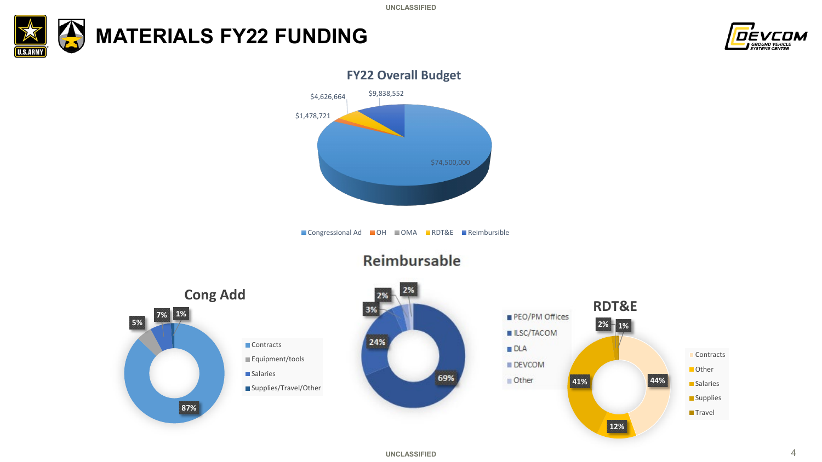





■ Congressional Ad ■ OH ■ OMA ■ RDT&E ■ Reimbursible



## **Reimbursable**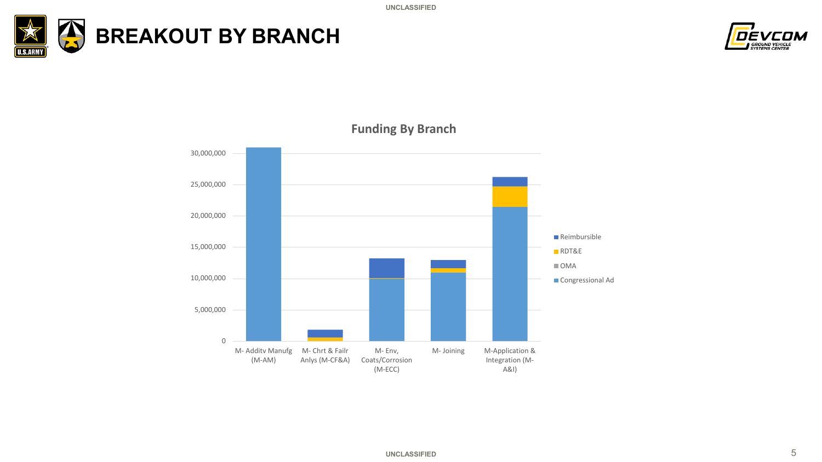





**Funding By Branch**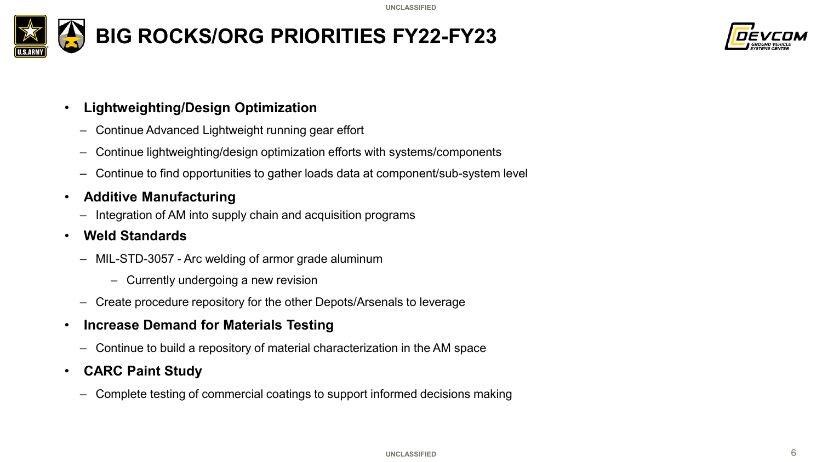



### • **Lightweighting/Design Optimization**

- Continue Advanced Lightweight running gear effort
- Continue lightweighting/design optimization efforts with systems/components
- Continue to find opportunities to gather loads data at component/sub-system level
- **Additive Manufacturing**
	- Integration of AM into supply chain and acquisition programs

## • **Weld Standards**

- MIL-STD-3057 Arc welding of armor grade aluminum
	- Currently undergoing a new revision
- Create procedure repository for the other Depots/Arsenals to leverage
- **Increase Demand for Materials Testing** 
	- Continue to build a repository of material characterization in the AM space

### • **CARC Paint Study**

– Complete testing of commercial coatings to support informed decisions making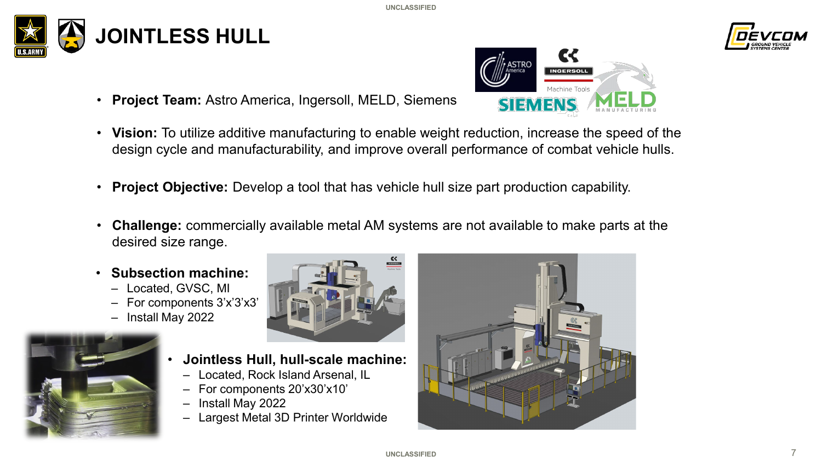

• **Project Team:** Astro America, Ingersoll, MELD, Siemens



- **Vision:** To utilize additive manufacturing to enable weight reduction, increase the speed of the design cycle and manufacturability, and improve overall performance of combat vehicle hulls.
- **Project Objective:** Develop a tool that has vehicle hull size part production capability.
- **Challenge:** commercially available metal AM systems are not available to make parts at the desired size range.
- **Subsection machine:**
	- Located, GVSC, MI
	- For components 3'x'3'x3'
	- Install May 2022





- **Jointless Hull, hull-scale machine:**
	- Located, Rock Island Arsenal, IL
	- For components 20'x30'x10'
	- Install May 2022
	- Largest Metal 3D Printer Worldwide



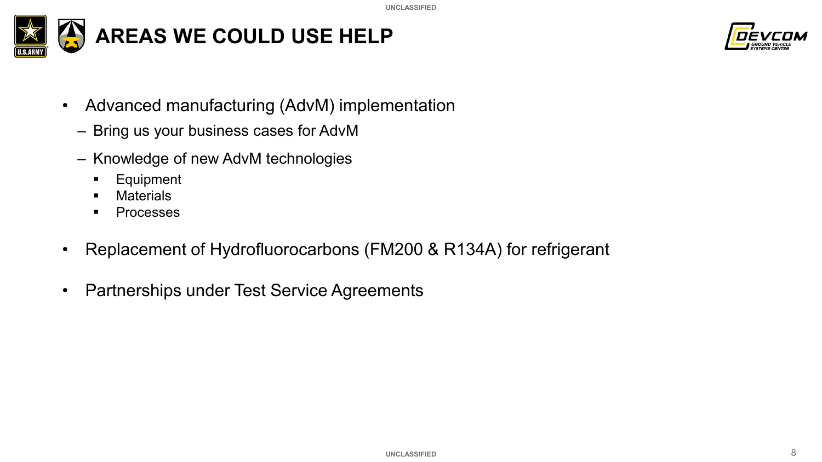



- Advanced manufacturing (AdvM) implementation
	- Bring us your business cases for AdvM
	- Knowledge of new AdvM technologies
		- **Equipment**
		- **Naterials**
		- **Processes**
- Replacement of Hydrofluorocarbons (FM200 & R134A) for refrigerant
- Partnerships under Test Service Agreements